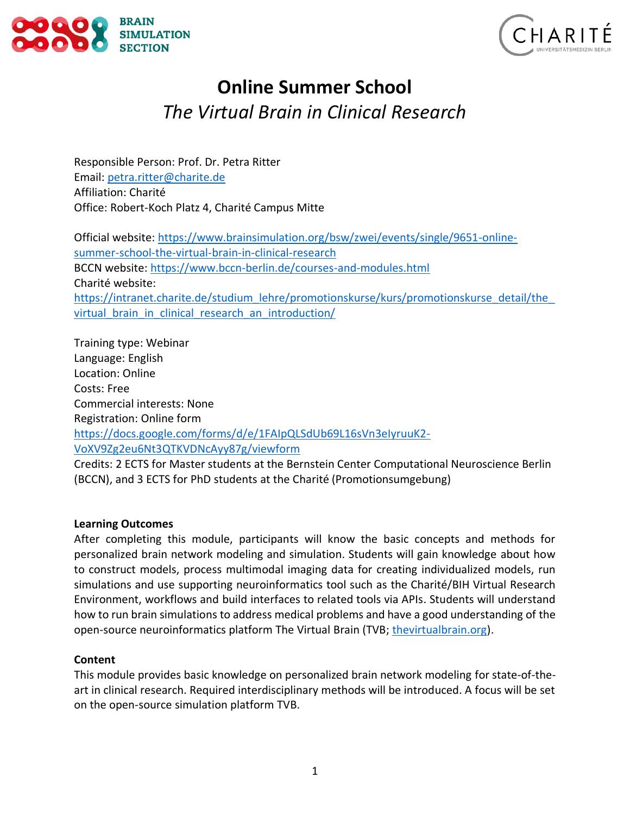



# **Online Summer School** *The Virtual Brain in Clinical Research*

Responsible Person: Prof. Dr. Petra Ritter Email: [petra.ritter@charite.de](mailto:petra.ritter@charite.de) Affiliation: Charité Office: Robert-Koch Platz 4, Charité Campus Mitte

Official website: [https://www.brainsimulation.org/bsw/zwei/events/single/9651-online](https://www.brainsimulation.org/bsw/zwei/events/single/9651-online-summer-school-the-virtual-brain-in-clinical-research)[summer-school-the-virtual-brain-in-clinical-research](https://www.brainsimulation.org/bsw/zwei/events/single/9651-online-summer-school-the-virtual-brain-in-clinical-research) BCCN website:<https://www.bccn-berlin.de/courses-and-modules.html> Charité website: https://intranet.charite.de/studium\_lehre/promotionskurse/kurs/promotionskurse\_detail/the virtual brain in clinical research an introduction/

Training type: Webinar Language: English Location: Online Costs: Free Commercial interests: None Registration: Online form [https://docs.google.com/forms/d/e/1FAIpQLSdUb69L16sVn3eIyruuK2-](https://docs.google.com/forms/d/e/1FAIpQLSdUb69L16sVn3eIyruuK2-VoXV9Zg2eu6Nt3QTKVDNcAyy87g/viewform) [VoXV9Zg2eu6Nt3QTKVDNcAyy87g/viewform](https://docs.google.com/forms/d/e/1FAIpQLSdUb69L16sVn3eIyruuK2-VoXV9Zg2eu6Nt3QTKVDNcAyy87g/viewform)

Credits: 2 ECTS for Master students at the Bernstein Center Computational Neuroscience Berlin (BCCN), and 3 ECTS for PhD students at the Charité (Promotionsumgebung)

## **Learning Outcomes**

After completing this module, participants will know the basic concepts and methods for personalized brain network modeling and simulation. Students will gain knowledge about how to construct models, process multimodal imaging data for creating individualized models, run simulations and use supporting neuroinformatics tool such as the Charité/BIH Virtual Research Environment, workflows and build interfaces to related tools via APIs. Students will understand how to run brain simulations to address medical problems and have a good understanding of the open-source neuroinformatics platform The Virtual Brain (TVB; [thevirtualbrain.org\)](https://www.thevirtualbrain.org/tvb/zwei).

## **Content**

This module provides basic knowledge on personalized brain network modeling for state-of-theart in clinical research. Required interdisciplinary methods will be introduced. A focus will be set on the open-source simulation platform TVB.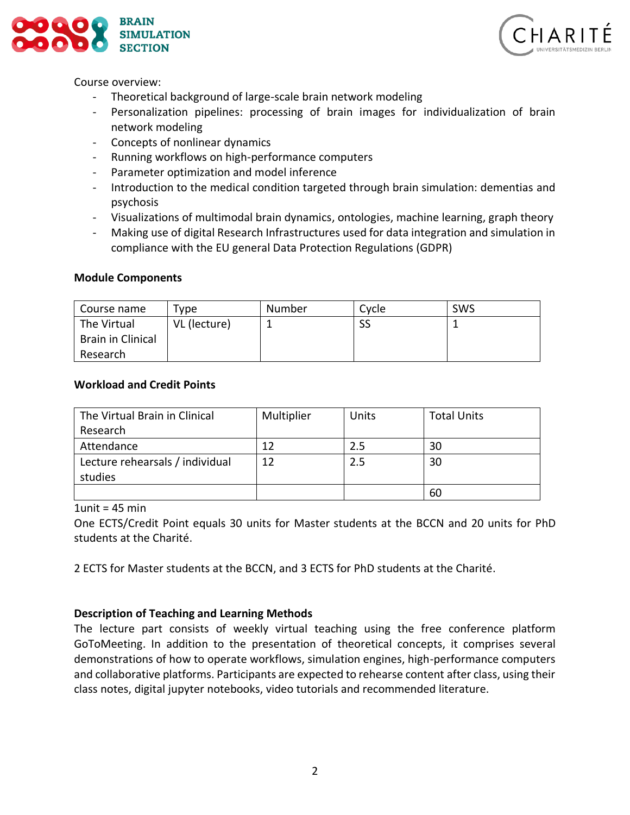



Course overview:

- Theoretical background of large-scale brain network modeling
- Personalization pipelines: processing of brain images for individualization of brain network modeling
- Concepts of nonlinear dynamics
- Running workflows on high-performance computers
- Parameter optimization and model inference
- Introduction to the medical condition targeted through brain simulation: dementias and psychosis
- Visualizations of multimodal brain dynamics, ontologies, machine learning, graph theory
- Making use of digital Research Infrastructures used for data integration and simulation in compliance with the EU general Data Protection Regulations (GDPR)

#### **Module Components**

| Course name       | $_{\text{Type}}$ | Number | Cycle | <b>SWS</b> |
|-------------------|------------------|--------|-------|------------|
| The Virtual       | VL (lecture)     |        | SS    |            |
| Brain in Clinical |                  |        |       |            |
| Research          |                  |        |       |            |

## **Workload and Credit Points**

| The Virtual Brain in Clinical   | Multiplier | Units | <b>Total Units</b> |
|---------------------------------|------------|-------|--------------------|
| Research                        |            |       |                    |
| Attendance                      | 12         | 2.5   | 30                 |
| Lecture rehearsals / individual | 12         | 2.5   | 30                 |
| studies                         |            |       |                    |
|                                 |            |       | 60                 |

 $1$ unit = 45 min

One ECTS/Credit Point equals 30 units for Master students at the BCCN and 20 units for PhD students at the Charité.

2 ECTS for Master students at the BCCN, and 3 ECTS for PhD students at the Charité.

## **Description of Teaching and Learning Methods**

The lecture part consists of weekly virtual teaching using the free conference platform GoToMeeting. In addition to the presentation of theoretical concepts, it comprises several demonstrations of how to operate workflows, simulation engines, high-performance computers and collaborative platforms. Participants are expected to rehearse content after class, using their class notes, digital jupyter notebooks, video tutorials and recommended literature.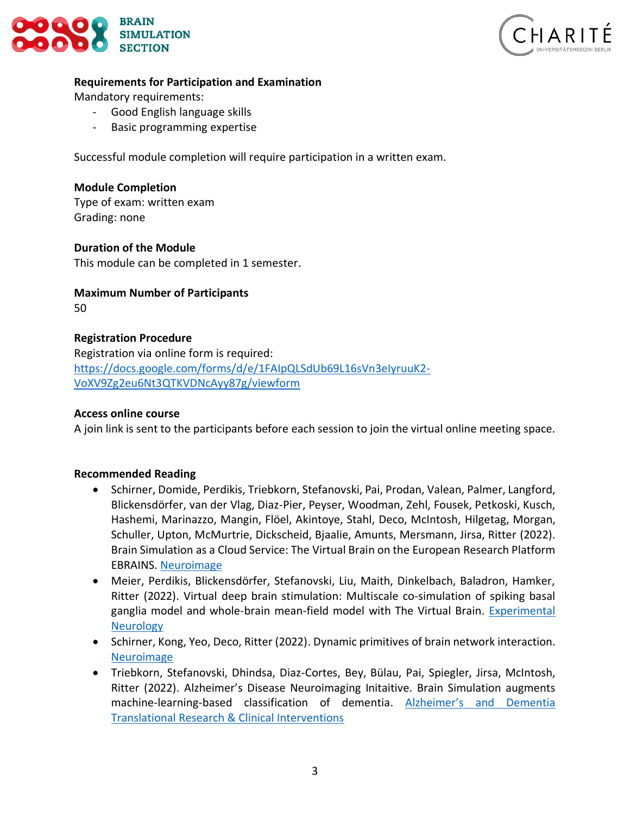



#### **Requirements for Participation and Examination**

Mandatory requirements:

- Good English language skills
- Basic programming expertise

Successful module completion will require participation in a written exam.

**Module Completion** Type of exam: written exam Grading: none

**Duration of the Module** This module can be completed in 1 semester.

**Maximum Number of Participants** 50

#### **Registration Procedure**

Registration via online form is required: [https://docs.google.com/forms/d/e/1FAIpQLSdUb69L16sVn3eIyruuK2-](https://docs.google.com/forms/d/e/1FAIpQLSdUb69L16sVn3eIyruuK2-VoXV9Zg2eu6Nt3QTKVDNcAyy87g/viewform) [VoXV9Zg2eu6Nt3QTKVDNcAyy87g/viewform](https://docs.google.com/forms/d/e/1FAIpQLSdUb69L16sVn3eIyruuK2-VoXV9Zg2eu6Nt3QTKVDNcAyy87g/viewform)

#### **Access online course**

A join link is sent to the participants before each session to join the virtual online meeting space.

#### **Recommended Reading**

- Schirner, Domide, Perdikis, Triebkorn, Stefanovski, Pai, Prodan, Valean, Palmer, Langford, Blickensdörfer, van der Vlag, Diaz-Pier, Peyser, Woodman, Zehl, Fousek, Petkoski, Kusch, Hashemi, Marinazzo, Mangin, Flöel, Akintoye, Stahl, Deco, McIntosh, Hilgetag, Morgan, Schuller, Upton, McMurtrie, Dickscheid, Bjaalie, Amunts, Mersmann, Jirsa, Ritter (2022). Brain Simulation as a Cloud Service: The Virtual Brain on the European Research Platform EBRAINS. [Neuroimage](https://doi.org/10.1016/j.neuroimage.2022.118973)
- Meier, Perdikis, Blickensdörfer, Stefanovski, Liu, Maith, Dinkelbach, Baladron, Hamker, Ritter (2022). Virtual deep brain stimulation: Multiscale co-simulation of spiking basal ganglia model and whole-brain mean-field model with The Virtual Brain. Experimental **[Neurology](https://doi.org/10.1016/j.expneurol.2022.114111)**
- Schirner, Kong, Yeo, Deco, Ritter (2022). Dynamic primitives of brain network interaction. [Neuroimage](https://doi.org/10.1016/j.neuroimage.2022.118928)
- Triebkorn, Stefanovski, Dhindsa, Diaz-Cortes, Bey, Bülau, Pai, Spiegler, Jirsa, McIntosh, Ritter (2022). Alzheimer's Disease Neuroimaging Initaitive. Brain Simulation augments machine-learning-based classification of dementia. [Alzheimer's and Dementia](https://doi.org/10.1002/trc2.12303)  [Translational Research & Clinical Interventions](https://doi.org/10.1002/trc2.12303)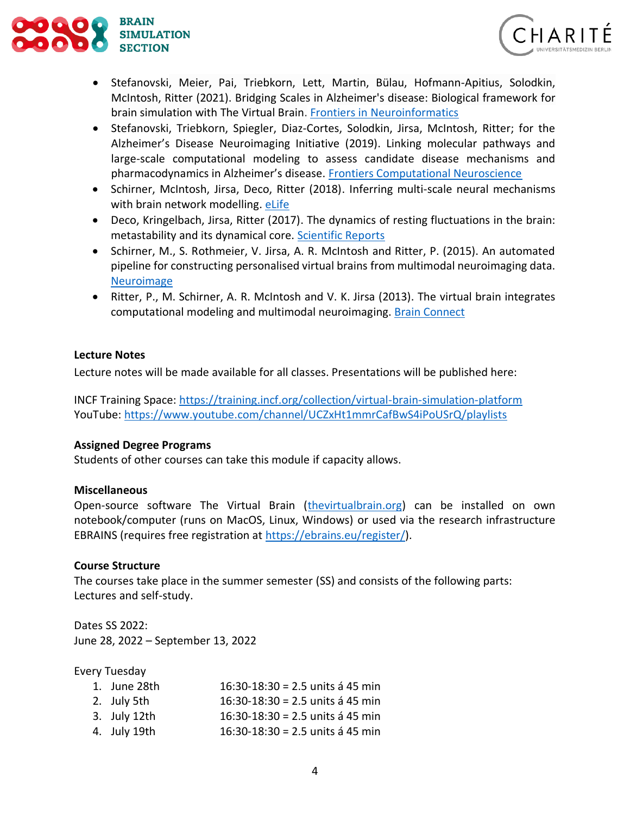



- Stefanovski, Meier, Pai, Triebkorn, Lett, Martin, Bülau, Hofmann-Apitius, Solodkin, McIntosh, Ritter (2021). Bridging Scales in Alzheimer's disease: Biological framework for brain simulation with The Virtual Brain. [Frontiers in Neuroinformatics](https://doi.org/10.3389/fninf.2021.630172)
- Stefanovski, Triebkorn, Spiegler, Diaz-Cortes, Solodkin, Jirsa, McIntosh, Ritter; for the Alzheimer's Disease Neuroimaging Initiative (2019). Linking molecular pathways and large-scale computational modeling to assess candidate disease mechanisms and pharmacodynamics in Alzheimer's disease. [Frontiers Computational Neuroscience](https://doi.org/10.3389/fncom.2019.00054)
- Schirner, McIntosh, Jirsa, Deco, Ritter (2018). Inferring multi-scale neural mechanisms with brain network modelling. [eLife](https://doi.org/10.7554/eLife.28927)
- Deco, Kringelbach, Jirsa, Ritter (2017). The dynamics of resting fluctuations in the brain: metastability and its dynamical core. [Scientific Reports](https://doi.org/10.1038/s41598-017-03073-5)
- Schirner, M., S. Rothmeier, V. Jirsa, A. R. McIntosh and Ritter, P. (2015). An automated pipeline for constructing personalised virtual brains from multimodal neuroimaging data. [Neuroimage](https://doi.org/10.1016/j.neuroimage.2015.03.055)
- Ritter, P., M. Schirner, A. R. McIntosh and V. K. Jirsa (2013). The virtual brain integrates computational modeling and multimodal neuroimaging. [Brain Connect](https://doi.org/10.1089/brain.2012.0120)

#### **Lecture Notes**

Lecture notes will be made available for all classes. Presentations will be published here:

INCF Training Space:<https://training.incf.org/collection/virtual-brain-simulation-platform> YouTube:<https://www.youtube.com/channel/UCZxHt1mmrCafBwS4iPoUSrQ/playlists>

#### **Assigned Degree Programs**

Students of other courses can take this module if capacity allows.

#### **Miscellaneous**

Open-source software The Virtual Brain [\(thevirtualbrain.org\)](https://www.thevirtualbrain.org/tvb/zwei) can be installed on own notebook/computer (runs on MacOS, Linux, Windows) or used via the research infrastructure EBRAINS (requires free registration at [https://ebrains.eu/register/\)](https://ebrains.eu/register/).

#### **Course Structure**

The courses take place in the summer semester (SS) and consists of the following parts: Lectures and self-study.

Dates SS 2022: June 28, 2022 – September 13, 2022

Every Tuesday

| 1. June 28th | 16:30-18:30 = 2.5 units á 45 min |
|--------------|----------------------------------|
| 2. July 5th  | 16:30-18:30 = 2.5 units á 45 min |
| 3. July 12th | 16:30-18:30 = 2.5 units á 45 min |
| 4. July 19th | 16:30-18:30 = 2.5 units á 45 min |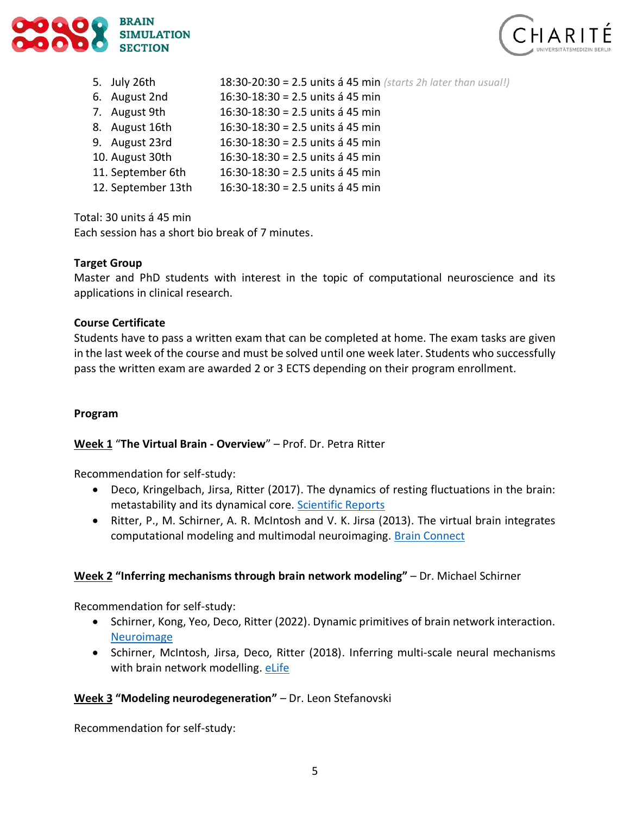



- 5. July 26th 18:30-20:30 = 2.5 units á 45 min *(starts 2h later than usual!)*
- 6. August 2nd 16:30-18:30 = 2.5 units á 45 min
- 7. August 9th 16:30-18:30 = 2.5 units á 45 min
- 8. August 16th 16:30-18:30 = 2.5 units á 45 min
- 9. August 23rd 16:30-18:30 = 2.5 units á 45 min
- 10. August 30th 16:30-18:30 = 2.5 units á 45 min
- 11. September 6th 16:30-18:30 = 2.5 units á 45 min
- 12. September 13th 16:30-18:30 = 2.5 units á 45 min

Total: 30 units á 45 min Each session has a short bio break of 7 minutes.

## **Target Group**

Master and PhD students with interest in the topic of computational neuroscience and its applications in clinical research.

## **Course Certificate**

Students have to pass a written exam that can be completed at home. The exam tasks are given in the last week of the course and must be solved until one week later. Students who successfully pass the written exam are awarded 2 or 3 ECTS depending on their program enrollment.

## **Program**

## **Week 1** "**The Virtual Brain - Overview**" – Prof. Dr. Petra Ritter

Recommendation for self-study:

- Deco, Kringelbach, Jirsa, Ritter (2017). The dynamics of resting fluctuations in the brain: metastability and its dynamical core. [Scientific Reports](https://doi.org/10.1038/s41598-017-03073-5)
- Ritter, P., M. Schirner, A. R. McIntosh and V. K. Jirsa (2013). The virtual brain integrates computational modeling and multimodal neuroimaging. [Brain Connect](https://doi.org/10.1089/brain.2012.0120)

## **Week 2 "Inferring mechanisms through brain network modeling"** – Dr. Michael Schirner

Recommendation for self-study:

- Schirner, Kong, Yeo, Deco, Ritter (2022). Dynamic primitives of brain network interaction. [Neuroimage](https://doi.org/10.1016/j.neuroimage.2022.118928)
- Schirner, McIntosh, Jirsa, Deco, Ritter (2018). Inferring multi-scale neural mechanisms with brain network modelling. [eLife](https://doi.org/10.7554/eLife.28927)

## **Week 3 "Modeling neurodegeneration"** – Dr. Leon Stefanovski

Recommendation for self-study: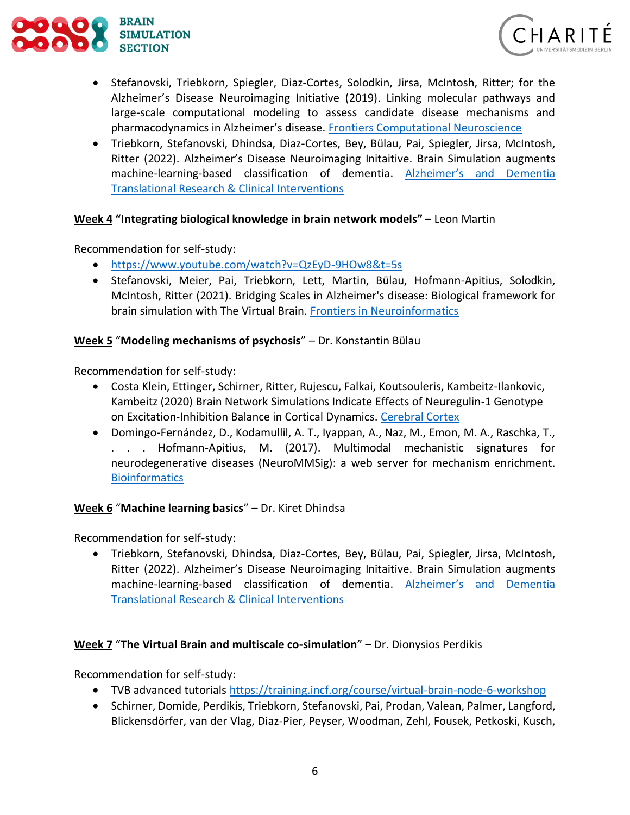



- Stefanovski, Triebkorn, Spiegler, Diaz-Cortes, Solodkin, Jirsa, McIntosh, Ritter; for the Alzheimer's Disease Neuroimaging Initiative (2019). Linking molecular pathways and large-scale computational modeling to assess candidate disease mechanisms and pharmacodynamics in Alzheimer's disease. [Frontiers Computational Neuroscience](https://doi.org/10.3389/fncom.2019.00054)
- Triebkorn, Stefanovski, Dhindsa, Diaz-Cortes, Bey, Bülau, Pai, Spiegler, Jirsa, McIntosh, Ritter (2022). Alzheimer's Disease Neuroimaging Initaitive. Brain Simulation augments machine-learning-based classification of dementia. [Alzheimer's and Dementia](https://doi.org/10.1002/trc2.12303)  [Translational Research & Clinical Interventions](https://doi.org/10.1002/trc2.12303)

## **Week 4 "Integrating biological knowledge in brain network models"** – Leon Martin

Recommendation for self-study:

- <https://www.youtube.com/watch?v=QzEyD-9HOw8&t=5s>
- Stefanovski, Meier, Pai, Triebkorn, Lett, Martin, Bülau, Hofmann-Apitius, Solodkin, McIntosh, Ritter (2021). Bridging Scales in Alzheimer's disease: Biological framework for brain simulation with The Virtual Brain. [Frontiers in Neuroinformatics](https://doi.org/10.3389/fninf.2021.630172)

## **Week 5** "**Modeling mechanisms of psychosis**" – Dr. Konstantin Bülau

Recommendation for self-study:

- Costa Klein, Ettinger, Schirner, Ritter, Rujescu, Falkai, Koutsouleris, Kambeitz-Ilankovic, Kambeitz (2020) Brain Network Simulations Indicate Effects of Neuregulin-1 Genotype on Excitation-Inhibition Balance in Cortical Dynamics. [Cerebral Cortex](https://doi.org/10.1093/cercor/bhaa339)
- Domingo-Fernández, D., Kodamullil, A. T., Iyappan, A., Naz, M., Emon, M. A., Raschka, T., . . . Hofmann-Apitius, M. (2017). Multimodal mechanistic signatures for neurodegenerative diseases (NeuroMMSig): a web server for mechanism enrichment. **[Bioinformatics](https://dx.doi.org/10.1093%2Fbioinformatics%2Fbtx399)**

## **Week 6** "**Machine learning basics**" – Dr. Kiret Dhindsa

Recommendation for self-study:

• Triebkorn, Stefanovski, Dhindsa, Diaz-Cortes, Bey, Bülau, Pai, Spiegler, Jirsa, McIntosh, Ritter (2022). Alzheimer's Disease Neuroimaging Initaitive. Brain Simulation augments machine-learning-based classification of dementia. [Alzheimer's and Dementia](https://doi.org/10.1002/trc2.12303)  [Translational Research & Clinical Interventions](https://doi.org/10.1002/trc2.12303)

#### **Week 7** "**The Virtual Brain and multiscale co-simulation**" – Dr. Dionysios Perdikis

Recommendation for self-study:

- TVB advanced tutorials <https://training.incf.org/course/virtual-brain-node-6-workshop>
- Schirner, Domide, Perdikis, Triebkorn, Stefanovski, Pai, Prodan, Valean, Palmer, Langford, Blickensdörfer, van der Vlag, Diaz-Pier, Peyser, Woodman, Zehl, Fousek, Petkoski, Kusch,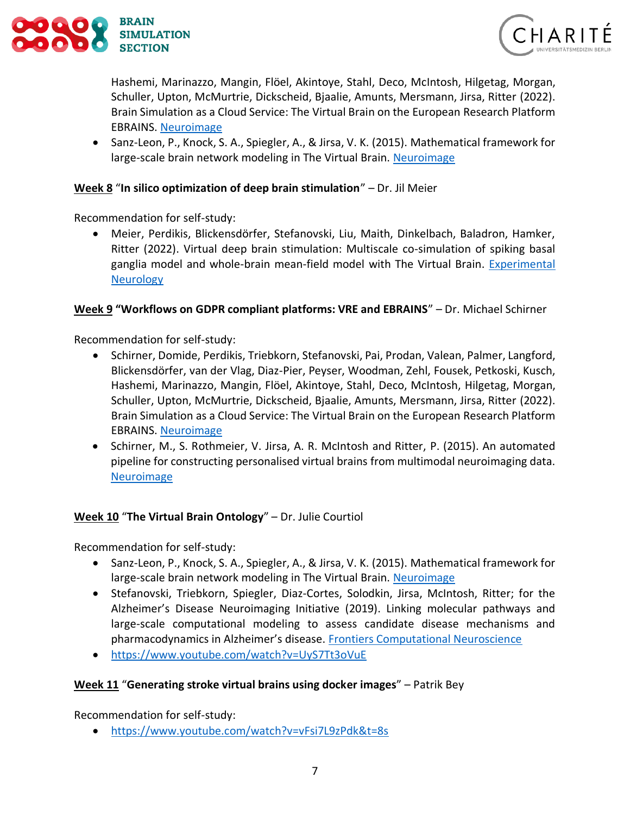



Hashemi, Marinazzo, Mangin, Flöel, Akintoye, Stahl, Deco, McIntosh, Hilgetag, Morgan, Schuller, Upton, McMurtrie, Dickscheid, Bjaalie, Amunts, Mersmann, Jirsa, Ritter (2022). Brain Simulation as a Cloud Service: The Virtual Brain on the European Research Platform EBRAINS. [Neuroimage](https://doi.org/10.1016/j.neuroimage.2022.118973)

• Sanz-Leon, P., Knock, S. A., Spiegler, A., & Jirsa, V. K. (2015). Mathematical framework for large-scale brain network modeling in The Virtual Brain. [Neuroimage](https://doi.org/10.1016/j.neuroimage.2015.01.002)

## **Week 8** "**In silico optimization of deep brain stimulation**" – Dr. Jil Meier

Recommendation for self-study:

• Meier, Perdikis, Blickensdörfer, Stefanovski, Liu, Maith, Dinkelbach, Baladron, Hamker, Ritter (2022). Virtual deep brain stimulation: Multiscale co-simulation of spiking basal ganglia model and whole-brain mean-field model with The Virtual Brain. [Experimental](https://doi.org/10.1016/j.expneurol.2022.114111)  [Neurology](https://doi.org/10.1016/j.expneurol.2022.114111)

## **Week 9 "Workflows on GDPR compliant platforms: VRE and EBRAINS**" – Dr. Michael Schirner

Recommendation for self-study:

- Schirner, Domide, Perdikis, Triebkorn, Stefanovski, Pai, Prodan, Valean, Palmer, Langford, Blickensdörfer, van der Vlag, Diaz-Pier, Peyser, Woodman, Zehl, Fousek, Petkoski, Kusch, Hashemi, Marinazzo, Mangin, Flöel, Akintoye, Stahl, Deco, McIntosh, Hilgetag, Morgan, Schuller, Upton, McMurtrie, Dickscheid, Bjaalie, Amunts, Mersmann, Jirsa, Ritter (2022). Brain Simulation as a Cloud Service: The Virtual Brain on the European Research Platform EBRAINS. [Neuroimage](https://doi.org/10.1016/j.neuroimage.2022.118973)
- Schirner, M., S. Rothmeier, V. Jirsa, A. R. McIntosh and Ritter, P. (2015). An automated pipeline for constructing personalised virtual brains from multimodal neuroimaging data. [Neuroimage](https://doi.org/10.1016/j.neuroimage.2015.03.055)

## **Week 10** "**The Virtual Brain Ontology**" – Dr. Julie Courtiol

Recommendation for self-study:

- Sanz-Leon, P., Knock, S. A., Spiegler, A., & Jirsa, V. K. (2015). Mathematical framework for large-scale brain network modeling in The Virtual Brain. [Neuroimage](https://doi.org/10.1016/j.neuroimage.2015.01.002)
- Stefanovski, Triebkorn, Spiegler, Diaz-Cortes, Solodkin, Jirsa, McIntosh, Ritter; for the Alzheimer's Disease Neuroimaging Initiative (2019). Linking molecular pathways and large-scale computational modeling to assess candidate disease mechanisms and pharmacodynamics in Alzheimer's disease. [Frontiers Computational Neuroscience](https://doi.org/10.3389/fncom.2019.00054)
- <https://www.youtube.com/watch?v=UyS7Tt3oVuE>

## **Week 11** "**Generating stroke virtual brains using docker images**" – Patrik Bey

Recommendation for self-study:

• <https://www.youtube.com/watch?v=vFsi7L9zPdk&t=8s>